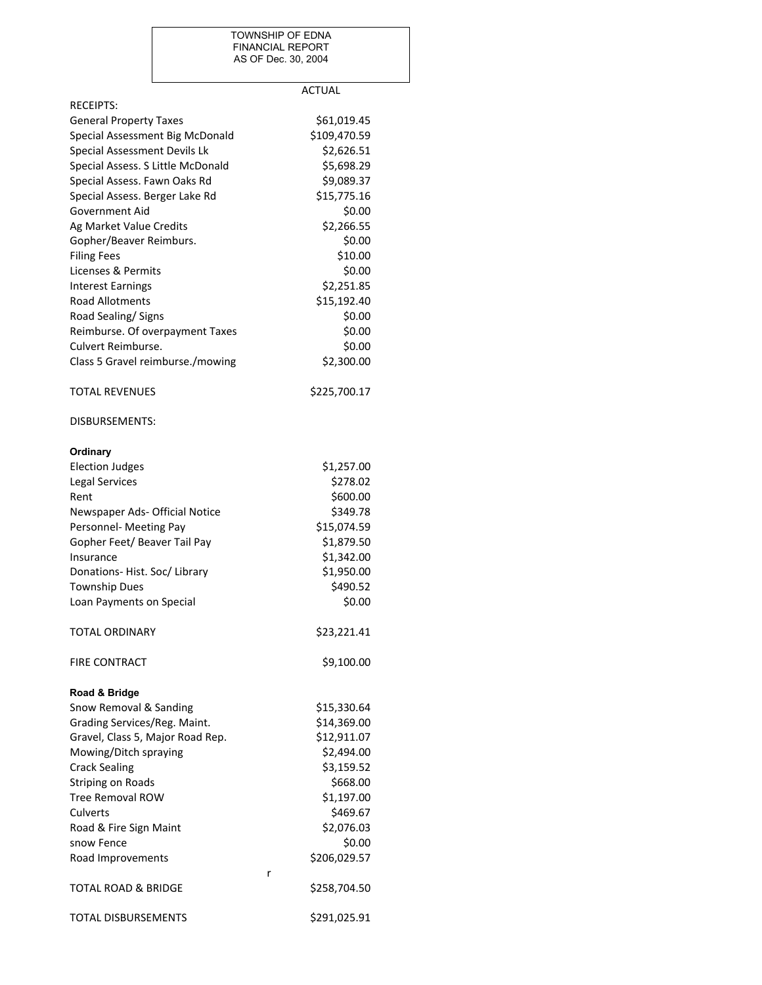## TOWNSHIP OF EDNA FINANCIAL REPORT AS OF Dec. 30, 2004

|                                   | <b>ACTUAL</b> |
|-----------------------------------|---------------|
| <b>RECEIPTS:</b>                  |               |
| <b>General Property Taxes</b>     | \$61,019.45   |
| Special Assessment Big McDonald   | \$109,470.59  |
| Special Assessment Devils Lk      | \$2,626.51    |
| Special Assess. S Little McDonald | \$5,698.29    |
| Special Assess. Fawn Oaks Rd      | \$9,089.37    |
| Special Assess. Berger Lake Rd    | \$15,775.16   |
| Government Aid                    | \$0.00        |
| Ag Market Value Credits           | \$2,266.55    |
| Gopher/Beaver Reimburs.           | \$0.00        |
| <b>Filing Fees</b>                | \$10.00       |
| Licenses & Permits                | \$0.00        |
| Interest Earnings                 | \$2,251.85    |
| <b>Road Allotments</b>            | \$15,192.40   |
| Road Sealing/Signs                | \$0.00        |
| Reimburse. Of overpayment Taxes   | \$0.00        |
| Culvert Reimburse.                | \$0.00        |
| Class 5 Gravel reimburse./mowing  | \$2,300.00    |
| <b>TOTAL REVENUES</b>             | \$225,700.17  |
| DISBURSEMENTS:                    |               |
| Ordinary                          |               |
| <b>Election Judges</b>            | \$1,257.00    |
| <b>Legal Services</b>             | \$278.02      |
| Rent                              | \$600.00      |
| Newspaper Ads- Official Notice    | \$349.78      |
| Personnel- Meeting Pay            | \$15,074.59   |
| Gopher Feet/ Beaver Tail Pay      | \$1,879.50    |
| Insurance                         | \$1,342.00    |
| Donations- Hist. Soc/ Library     | \$1,950.00    |
| <b>Township Dues</b>              | \$490.52      |
| Loan Payments on Special          | \$0.00        |
| <b>TOTAL ORDINARY</b>             | \$23,221.41   |
| <b>FIRE CONTRACT</b>              | \$9,100.00    |
| Road & Bridge                     |               |
| Snow Removal & Sanding            | \$15,330.64   |
| Grading Services/Reg. Maint.      | \$14,369.00   |
| Gravel, Class 5, Major Road Rep.  | \$12,911.07   |
| Mowing/Ditch spraying             | \$2,494.00    |
| <b>Crack Sealing</b>              | \$3,159.52    |
| <b>Striping on Roads</b>          | \$668.00      |
| <b>Tree Removal ROW</b>           | \$1,197.00    |
| Culverts                          | \$469.67      |
| Road & Fire Sign Maint            | \$2,076.03    |
| snow Fence                        | \$0.00        |
| Road Improvements                 | \$206,029.57  |
| r<br>TOTAL ROAD & BRIDGE          | \$258,704.50  |
| TOTAL DISBURSEMENTS               | \$291,025.91  |